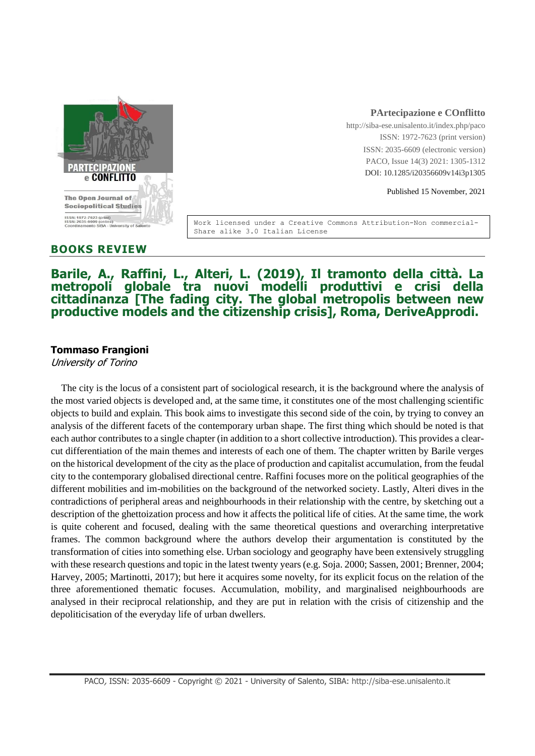

### **PArtecipazione e COnflitto**

http://siba-ese.unisalento.it/index.php/paco ISSN: 1972-7623 (print version) ISSN: 2035-6609 (electronic version) PACO, Issue 14(3) 2021: 1305-1312 DOI: 10.1285/i20356609v14i3p1305

Published 15 November, 2021

Work licensed under a Creative Commons Attribution-Non commercial-Share alike 3.0 Italian License

### **BOOKS REVIEW**

# **Barile, A., Raffini, L., Alteri, L. (2019), Il tramonto della città. La metropoli globale tra nuovi modelli produttivi e crisi della cittadinanza [The fading city. The global metropolis between new productive models and the citizenship crisis], Roma, DeriveApprodi.**

### **Tommaso Frangioni**

University of Torino

The city is the locus of a consistent part of sociological research, it is the background where the analysis of the most varied objects is developed and, at the same time, it constitutes one of the most challenging scientific objects to build and explain. This book aims to investigate this second side of the coin, by trying to convey an analysis of the different facets of the contemporary urban shape. The first thing which should be noted is that each author contributes to a single chapter (in addition to a short collective introduction). This provides a clearcut differentiation of the main themes and interests of each one of them. The chapter written by Barile verges on the historical development of the city as the place of production and capitalist accumulation, from the feudal city to the contemporary globalised directional centre. Raffini focuses more on the political geographies of the different mobilities and im-mobilities on the background of the networked society. Lastly, Alteri dives in the contradictions of peripheral areas and neighbourhoods in their relationship with the centre, by sketching out a description of the ghettoization process and how it affects the political life of cities. At the same time, the work is quite coherent and focused, dealing with the same theoretical questions and overarching interpretative frames. The common background where the authors develop their argumentation is constituted by the transformation of cities into something else. Urban sociology and geography have been extensively struggling with these research questions and topic in the latest twenty years (e.g. Soja. 2000; Sassen, 2001; Brenner, 2004; Harvey, 2005; Martinotti, 2017); but here it acquires some novelty, for its explicit focus on the relation of the three aforementioned thematic focuses. Accumulation, mobility, and marginalised neighbourhoods are analysed in their reciprocal relationship, and they are put in relation with the crisis of citizenship and the depoliticisation of the everyday life of urban dwellers.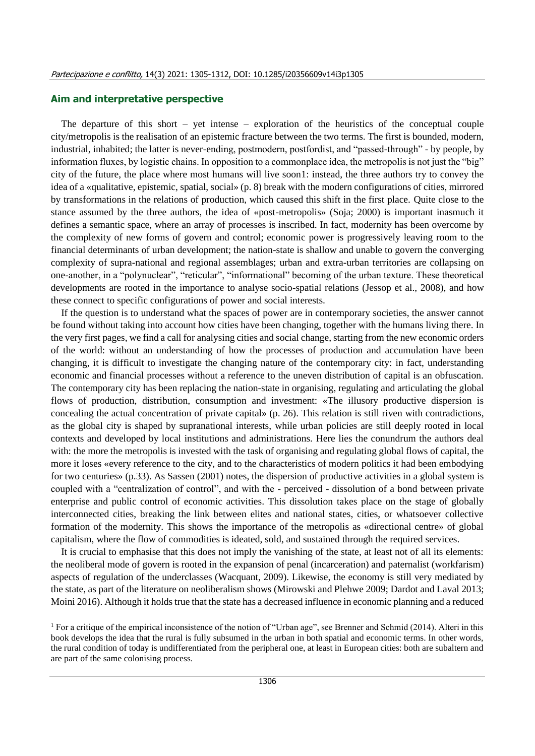#### **Aim and interpretative perspective**

The departure of this short – yet intense – exploration of the heuristics of the conceptual couple city/metropolis is the realisation of an epistemic fracture between the two terms. The first is bounded, modern, industrial, inhabited; the latter is never-ending, postmodern, postfordist, and "passed-through" - by people, by information fluxes, by logistic chains. In opposition to a commonplace idea, the metropolis is not just the "big" city of the future, the place where most humans will live soon1: instead, the three authors try to convey the idea of a «qualitative, epistemic, spatial, social» (p. 8) break with the modern configurations of cities, mirrored by transformations in the relations of production, which caused this shift in the first place. Quite close to the stance assumed by the three authors, the idea of «post-metropolis» (Soja; 2000) is important inasmuch it defines a semantic space, where an array of processes is inscribed. In fact, modernity has been overcome by the complexity of new forms of govern and control; economic power is progressively leaving room to the financial determinants of urban development; the nation-state is shallow and unable to govern the converging complexity of supra-national and regional assemblages; urban and extra-urban territories are collapsing on one-another, in a "polynuclear", "reticular", "informational" becoming of the urban texture. These theoretical developments are rooted in the importance to analyse socio-spatial relations (Jessop et al., 2008), and how these connect to specific configurations of power and social interests.

If the question is to understand what the spaces of power are in contemporary societies, the answer cannot be found without taking into account how cities have been changing, together with the humans living there. In the very first pages, we find a call for analysing cities and social change, starting from the new economic orders of the world: without an understanding of how the processes of production and accumulation have been changing, it is difficult to investigate the changing nature of the contemporary city: in fact, understanding economic and financial processes without a reference to the uneven distribution of capital is an obfuscation. The contemporary city has been replacing the nation-state in organising, regulating and articulating the global flows of production, distribution, consumption and investment: «The illusory productive dispersion is concealing the actual concentration of private capital» (p. 26). This relation is still riven with contradictions, as the global city is shaped by supranational interests, while urban policies are still deeply rooted in local contexts and developed by local institutions and administrations. Here lies the conundrum the authors deal with: the more the metropolis is invested with the task of organising and regulating global flows of capital, the more it loses «every reference to the city, and to the characteristics of modern politics it had been embodying for two centuries» (p.33). As Sassen (2001) notes, the dispersion of productive activities in a global system is coupled with a "centralization of control", and with the - perceived - dissolution of a bond between private enterprise and public control of economic activities. This dissolution takes place on the stage of globally interconnected cities, breaking the link between elites and national states, cities, or whatsoever collective formation of the modernity. This shows the importance of the metropolis as «directional centre» of global capitalism, where the flow of commodities is ideated, sold, and sustained through the required services.

It is crucial to emphasise that this does not imply the vanishing of the state, at least not of all its elements: the neoliberal mode of govern is rooted in the expansion of penal (incarceration) and paternalist (workfarism) aspects of regulation of the underclasses (Wacquant, 2009). Likewise, the economy is still very mediated by the state, as part of the literature on neoliberalism shows (Mirowski and Plehwe 2009; Dardot and Laval 2013; Moini 2016). Although it holds true that the state has a decreased influence in economic planning and a reduced

<sup>&</sup>lt;sup>1</sup> For a critique of the empirical inconsistence of the notion of "Urban age", see Brenner and Schmid (2014). Alteri in this book develops the idea that the rural is fully subsumed in the urban in both spatial and economic terms. In other words, the rural condition of today is undifferentiated from the peripheral one, at least in European cities: both are subaltern and are part of the same colonising process.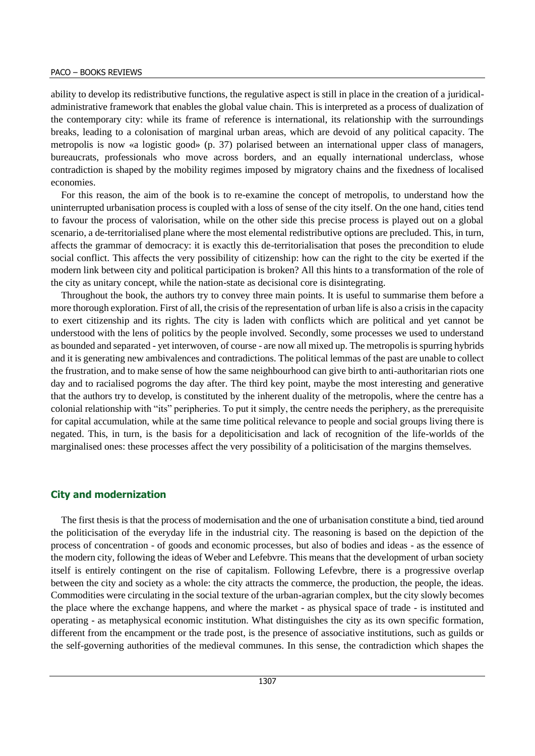ability to develop its redistributive functions, the regulative aspect is still in place in the creation of a juridicaladministrative framework that enables the global value chain. This is interpreted as a process of dualization of the contemporary city: while its frame of reference is international, its relationship with the surroundings breaks, leading to a colonisation of marginal urban areas, which are devoid of any political capacity. The metropolis is now «a logistic good» (p. 37) polarised between an international upper class of managers, bureaucrats, professionals who move across borders, and an equally international underclass, whose contradiction is shaped by the mobility regimes imposed by migratory chains and the fixedness of localised economies.

For this reason, the aim of the book is to re-examine the concept of metropolis, to understand how the uninterrupted urbanisation process is coupled with a loss of sense of the city itself. On the one hand, cities tend to favour the process of valorisation, while on the other side this precise process is played out on a global scenario, a de-territorialised plane where the most elemental redistributive options are precluded. This, in turn, affects the grammar of democracy: it is exactly this de-territorialisation that poses the precondition to elude social conflict. This affects the very possibility of citizenship: how can the right to the city be exerted if the modern link between city and political participation is broken? All this hints to a transformation of the role of the city as unitary concept, while the nation-state as decisional core is disintegrating.

Throughout the book, the authors try to convey three main points. It is useful to summarise them before a more thorough exploration. First of all, the crisis of the representation of urban life is also a crisis in the capacity to exert citizenship and its rights. The city is laden with conflicts which are political and yet cannot be understood with the lens of politics by the people involved. Secondly, some processes we used to understand as bounded and separated - yet interwoven, of course - are now all mixed up. The metropolis is spurring hybrids and it is generating new ambivalences and contradictions. The political lemmas of the past are unable to collect the frustration, and to make sense of how the same neighbourhood can give birth to anti-authoritarian riots one day and to racialised pogroms the day after. The third key point, maybe the most interesting and generative that the authors try to develop, is constituted by the inherent duality of the metropolis, where the centre has a colonial relationship with "its" peripheries. To put it simply, the centre needs the periphery, as the prerequisite for capital accumulation, while at the same time political relevance to people and social groups living there is negated. This, in turn, is the basis for a depoliticisation and lack of recognition of the life-worlds of the marginalised ones: these processes affect the very possibility of a politicisation of the margins themselves.

#### **City and modernization**

The first thesis is that the process of modernisation and the one of urbanisation constitute a bind, tied around the politicisation of the everyday life in the industrial city. The reasoning is based on the depiction of the process of concentration - of goods and economic processes, but also of bodies and ideas - as the essence of the modern city, following the ideas of Weber and Lefebvre. This means that the development of urban society itself is entirely contingent on the rise of capitalism. Following Lefevbre, there is a progressive overlap between the city and society as a whole: the city attracts the commerce, the production, the people, the ideas. Commodities were circulating in the social texture of the urban-agrarian complex, but the city slowly becomes the place where the exchange happens, and where the market - as physical space of trade - is instituted and operating - as metaphysical economic institution. What distinguishes the city as its own specific formation, different from the encampment or the trade post, is the presence of associative institutions, such as guilds or the self-governing authorities of the medieval communes. In this sense, the contradiction which shapes the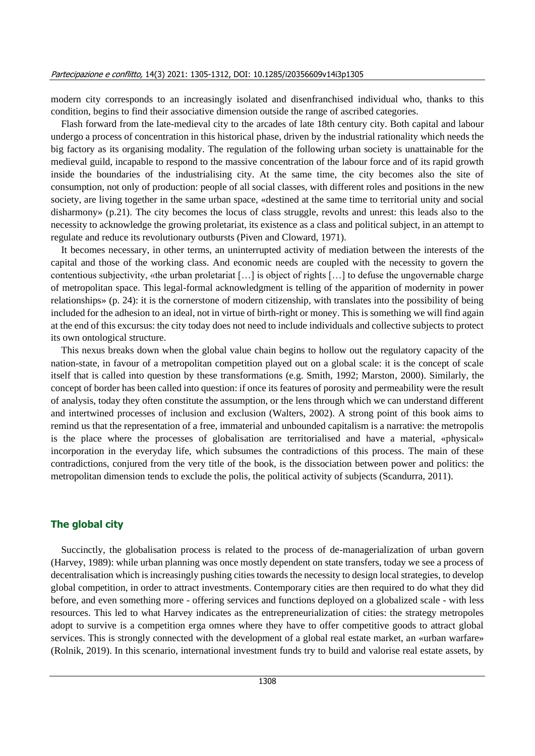modern city corresponds to an increasingly isolated and disenfranchised individual who, thanks to this condition, begins to find their associative dimension outside the range of ascribed categories.

Flash forward from the late-medieval city to the arcades of late 18th century city. Both capital and labour undergo a process of concentration in this historical phase, driven by the industrial rationality which needs the big factory as its organising modality. The regulation of the following urban society is unattainable for the medieval guild, incapable to respond to the massive concentration of the labour force and of its rapid growth inside the boundaries of the industrialising city. At the same time, the city becomes also the site of consumption, not only of production: people of all social classes, with different roles and positions in the new society, are living together in the same urban space, «destined at the same time to territorial unity and social disharmony» (p.21). The city becomes the locus of class struggle, revolts and unrest: this leads also to the necessity to acknowledge the growing proletariat, its existence as a class and political subject, in an attempt to regulate and reduce its revolutionary outbursts (Piven and Cloward, 1971).

It becomes necessary, in other terms, an uninterrupted activity of mediation between the interests of the capital and those of the working class. And economic needs are coupled with the necessity to govern the contentious subjectivity, «the urban proletariat […] is object of rights […] to defuse the ungovernable charge of metropolitan space. This legal-formal acknowledgment is telling of the apparition of modernity in power relationships» (p. 24): it is the cornerstone of modern citizenship, with translates into the possibility of being included for the adhesion to an ideal, not in virtue of birth-right or money. This is something we will find again at the end of this excursus: the city today does not need to include individuals and collective subjects to protect its own ontological structure.

This nexus breaks down when the global value chain begins to hollow out the regulatory capacity of the nation-state, in favour of a metropolitan competition played out on a global scale: it is the concept of scale itself that is called into question by these transformations (e.g. Smith, 1992; Marston, 2000). Similarly, the concept of border has been called into question: if once its features of porosity and permeability were the result of analysis, today they often constitute the assumption, or the lens through which we can understand different and intertwined processes of inclusion and exclusion (Walters, 2002). A strong point of this book aims to remind us that the representation of a free, immaterial and unbounded capitalism is a narrative: the metropolis is the place where the processes of globalisation are territorialised and have a material, «physical» incorporation in the everyday life, which subsumes the contradictions of this process. The main of these contradictions, conjured from the very title of the book, is the dissociation between power and politics: the metropolitan dimension tends to exclude the polis, the political activity of subjects (Scandurra, 2011).

### **The global city**

Succinctly, the globalisation process is related to the process of de-managerialization of urban govern (Harvey, 1989): while urban planning was once mostly dependent on state transfers, today we see a process of decentralisation which is increasingly pushing cities towards the necessity to design local strategies, to develop global competition, in order to attract investments. Contemporary cities are then required to do what they did before, and even something more - offering services and functions deployed on a globalized scale - with less resources. This led to what Harvey indicates as the entrepreneurialization of cities: the strategy metropoles adopt to survive is a competition erga omnes where they have to offer competitive goods to attract global services. This is strongly connected with the development of a global real estate market, an «urban warfare» (Rolnik, 2019). In this scenario, international investment funds try to build and valorise real estate assets, by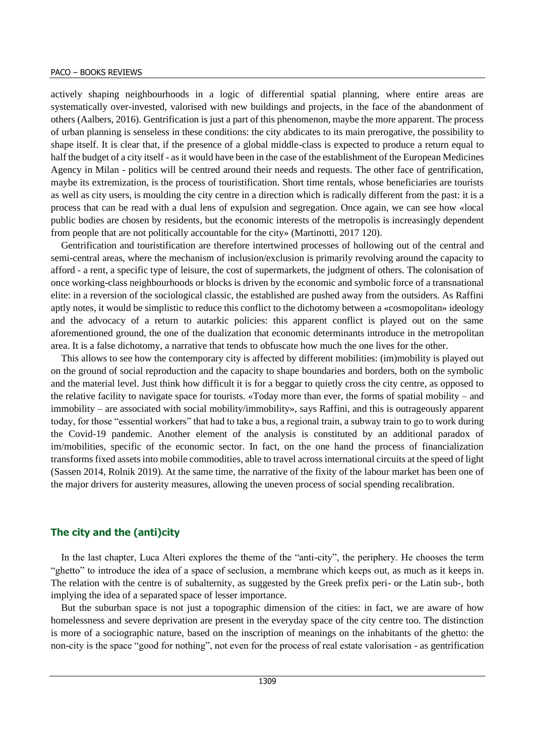actively shaping neighbourhoods in a logic of differential spatial planning, where entire areas are systematically over-invested, valorised with new buildings and projects, in the face of the abandonment of others (Aalbers, 2016). Gentrification is just a part of this phenomenon, maybe the more apparent. The process of urban planning is senseless in these conditions: the city abdicates to its main prerogative, the possibility to shape itself. It is clear that, if the presence of a global middle-class is expected to produce a return equal to half the budget of a city itself - as it would have been in the case of the establishment of the European Medicines Agency in Milan - politics will be centred around their needs and requests. The other face of gentrification, maybe its extremization, is the process of touristification. Short time rentals, whose beneficiaries are tourists as well as city users, is moulding the city centre in a direction which is radically different from the past: it is a process that can be read with a dual lens of expulsion and segregation. Once again, we can see how «local public bodies are chosen by residents, but the economic interests of the metropolis is increasingly dependent from people that are not politically accountable for the city» (Martinotti, 2017 120).

Gentrification and touristification are therefore intertwined processes of hollowing out of the central and semi-central areas, where the mechanism of inclusion/exclusion is primarily revolving around the capacity to afford - a rent, a specific type of leisure, the cost of supermarkets, the judgment of others. The colonisation of once working-class neighbourhoods or blocks is driven by the economic and symbolic force of a transnational elite: in a reversion of the sociological classic, the established are pushed away from the outsiders. As Raffini aptly notes, it would be simplistic to reduce this conflict to the dichotomy between a «cosmopolitan» ideology and the advocacy of a return to autarkic policies: this apparent conflict is played out on the same aforementioned ground, the one of the dualization that economic determinants introduce in the metropolitan area. It is a false dichotomy, a narrative that tends to obfuscate how much the one lives for the other.

This allows to see how the contemporary city is affected by different mobilities: (im)mobility is played out on the ground of social reproduction and the capacity to shape boundaries and borders, both on the symbolic and the material level. Just think how difficult it is for a beggar to quietly cross the city centre, as opposed to the relative facility to navigate space for tourists. «Today more than ever, the forms of spatial mobility – and immobility – are associated with social mobility/immobility», says Raffini, and this is outrageously apparent today, for those "essential workers" that had to take a bus, a regional train, a subway train to go to work during the Covid-19 pandemic. Another element of the analysis is constituted by an additional paradox of im/mobilities, specific of the economic sector. In fact, on the one hand the process of financialization transforms fixed assets into mobile commodities, able to travel across international circuits at the speed of light (Sassen 2014, Rolnik 2019). At the same time, the narrative of the fixity of the labour market has been one of the major drivers for austerity measures, allowing the uneven process of social spending recalibration.

### **The city and the (anti)city**

In the last chapter, Luca Alteri explores the theme of the "anti-city", the periphery. He chooses the term "ghetto" to introduce the idea of a space of seclusion, a membrane which keeps out, as much as it keeps in. The relation with the centre is of subalternity, as suggested by the Greek prefix peri- or the Latin sub-, both implying the idea of a separated space of lesser importance.

But the suburban space is not just a topographic dimension of the cities: in fact, we are aware of how homelessness and severe deprivation are present in the everyday space of the city centre too. The distinction is more of a sociographic nature, based on the inscription of meanings on the inhabitants of the ghetto: the non-city is the space "good for nothing", not even for the process of real estate valorisation - as gentrification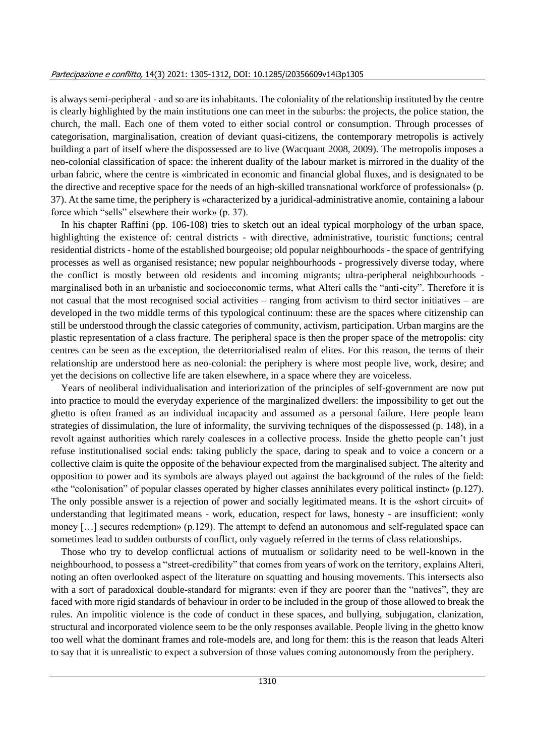is always semi-peripheral - and so are its inhabitants. The coloniality of the relationship instituted by the centre is clearly highlighted by the main institutions one can meet in the suburbs: the projects, the police station, the church, the mall. Each one of them voted to either social control or consumption. Through processes of categorisation, marginalisation, creation of deviant quasi-citizens, the contemporary metropolis is actively building a part of itself where the dispossessed are to live (Wacquant 2008, 2009). The metropolis imposes a neo-colonial classification of space: the inherent duality of the labour market is mirrored in the duality of the urban fabric, where the centre is «imbricated in economic and financial global fluxes, and is designated to be the directive and receptive space for the needs of an high-skilled transnational workforce of professionals» (p. 37). At the same time, the periphery is «characterized by a juridical-administrative anomie, containing a labour force which "sells" elsewhere their work» (p. 37).

In his chapter Raffini (pp. 106-108) tries to sketch out an ideal typical morphology of the urban space, highlighting the existence of: central districts - with directive, administrative, touristic functions; central residential districts - home of the established bourgeoise; old popular neighbourhoods - the space of gentrifying processes as well as organised resistance; new popular neighbourhoods - progressively diverse today, where the conflict is mostly between old residents and incoming migrants; ultra-peripheral neighbourhoods marginalised both in an urbanistic and socioeconomic terms, what Alteri calls the "anti-city". Therefore it is not casual that the most recognised social activities – ranging from activism to third sector initiatives – are developed in the two middle terms of this typological continuum: these are the spaces where citizenship can still be understood through the classic categories of community, activism, participation. Urban margins are the plastic representation of a class fracture. The peripheral space is then the proper space of the metropolis: city centres can be seen as the exception, the deterritorialised realm of elites. For this reason, the terms of their relationship are understood here as neo-colonial: the periphery is where most people live, work, desire; and yet the decisions on collective life are taken elsewhere, in a space where they are voiceless.

Years of neoliberal individualisation and interiorization of the principles of self-government are now put into practice to mould the everyday experience of the marginalized dwellers: the impossibility to get out the ghetto is often framed as an individual incapacity and assumed as a personal failure. Here people learn strategies of dissimulation, the lure of informality, the surviving techniques of the dispossessed (p. 148), in a revolt against authorities which rarely coalesces in a collective process. Inside the ghetto people can't just refuse institutionalised social ends: taking publicly the space, daring to speak and to voice a concern or a collective claim is quite the opposite of the behaviour expected from the marginalised subject. The alterity and opposition to power and its symbols are always played out against the background of the rules of the field: «the "colonisation" of popular classes operated by higher classes annihilates every political instinct» (p.127). The only possible answer is a rejection of power and socially legitimated means. It is the «short circuit» of understanding that legitimated means - work, education, respect for laws, honesty - are insufficient: «only money […] secures redemption» (p.129). The attempt to defend an autonomous and self-regulated space can sometimes lead to sudden outbursts of conflict, only vaguely referred in the terms of class relationships.

Those who try to develop conflictual actions of mutualism or solidarity need to be well-known in the neighbourhood, to possess a "street-credibility" that comes from years of work on the territory, explains Alteri, noting an often overlooked aspect of the literature on squatting and housing movements. This intersects also with a sort of paradoxical double-standard for migrants: even if they are poorer than the "natives", they are faced with more rigid standards of behaviour in order to be included in the group of those allowed to break the rules. An impolitic violence is the code of conduct in these spaces, and bullying, subjugation, clanization, structural and incorporated violence seem to be the only responses available. People living in the ghetto know too well what the dominant frames and role-models are, and long for them: this is the reason that leads Alteri to say that it is unrealistic to expect a subversion of those values coming autonomously from the periphery.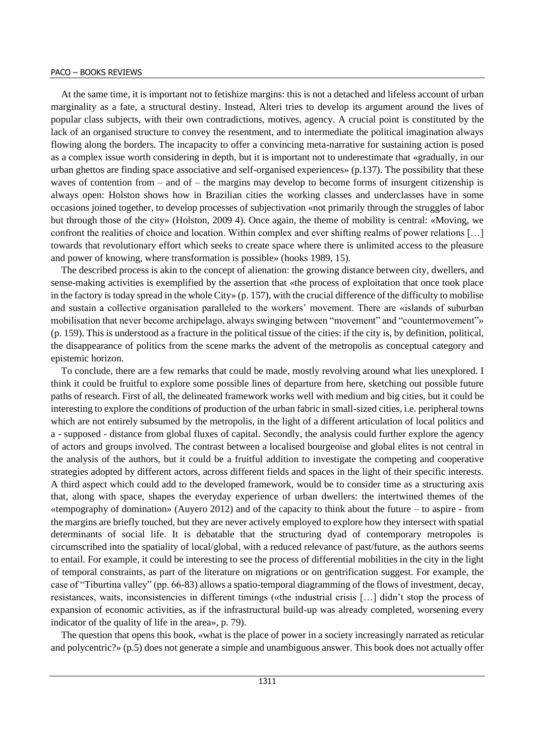#### PACO – BOOKS REVIEWS

At the same time, it is important not to fetishize margins: this is not a detached and lifeless account of urban marginality as a fate, a structural destiny. Instead, Alteri tries to develop its argument around the lives of popular class subjects, with their own contradictions, motives, agency. A crucial point is constituted by the lack of an organised structure to convey the resentment, and to intermediate the political imagination always flowing along the borders. The incapacity to offer a convincing meta-narrative for sustaining action is posed as a complex issue worth considering in depth, but it is important not to underestimate that «gradually, in our urban ghettos are finding space associative and self-organised experiences» (p.137). The possibility that these waves of contention from – and of – the margins may develop to become forms of insurgent citizenship is always open: Holston shows how in Brazilian cities the working classes and underclasses have in some occasions joined together, to develop processes of subjectivation «not primarily through the struggles of labor but through those of the city» (Holston, 2009 4). Once again, the theme of mobility is central: «Moving, we confront the realities of choice and location. Within complex and ever shifting realms of power relations […] towards that revolutionary effort which seeks to create space where there is unlimited access to the pleasure and power of knowing, where transformation is possible» (hooks 1989, 15).

The described process is akin to the concept of alienation: the growing distance between city, dwellers, and sense-making activities is exemplified by the assertion that «the process of exploitation that once took place in the factory is today spread in the whole City» (p. 157), with the crucial difference of the difficulty to mobilise and sustain a collective organisation paralleled to the workers' movement. There are «islands of suburban mobilisation that never become archipelago, always swinging between "movement" and "countermovement"» (p. 159). This is understood as a fracture in the political tissue of the cities: if the city is, by definition, political, the disappearance of politics from the scene marks the advent of the metropolis as conceptual category and epistemic horizon.

To conclude, there are a few remarks that could be made, mostly revolving around what lies unexplored. I think it could be fruitful to explore some possible lines of departure from here, sketching out possible future paths of research. First of all, the delineated framework works well with medium and big cities, but it could be interesting to explore the conditions of production of the urban fabric in small-sized cities, i.e. peripheral towns which are not entirely subsumed by the metropolis, in the light of a different articulation of local politics and a - supposed - distance from global fluxes of capital. Secondly, the analysis could further explore the agency of actors and groups involved. The contrast between a localised bourgeoise and global elites is not central in the analysis of the authors, but it could be a fruitful addition to investigate the competing and cooperative strategies adopted by different actors, across different fields and spaces in the light of their specific interests. A third aspect which could add to the developed framework, would be to consider time as a structuring axis that, along with space, shapes the everyday experience of urban dwellers: the intertwined themes of the «tempography of domination» (Auyero 2012) and of the capacity to think about the future – to aspire - from the margins are briefly touched, but they are never actively employed to explore how they intersect with spatial determinants of social life. It is debatable that the structuring dyad of contemporary metropoles is circumscribed into the spatiality of local/global, with a reduced relevance of past/future, as the authors seems to entail. For example, it could be interesting to see the process of differential mobilities in the city in the light of temporal constraints, as part of the literature on migrations or on gentrification suggest. For example, the case of "Tiburtina valley" (pp. 66-83) allows a spatio-temporal diagramming of the flows of investment, decay, resistances, waits, inconsistencies in different timings («the industrial crisis […] didn't stop the process of expansion of economic activities, as if the infrastructural build-up was already completed, worsening every indicator of the quality of life in the area», p. 79).

The question that opens this book, «what is the place of power in a society increasingly narrated as reticular and polycentric?» (p.5) does not generate a simple and unambiguous answer. This book does not actually offer